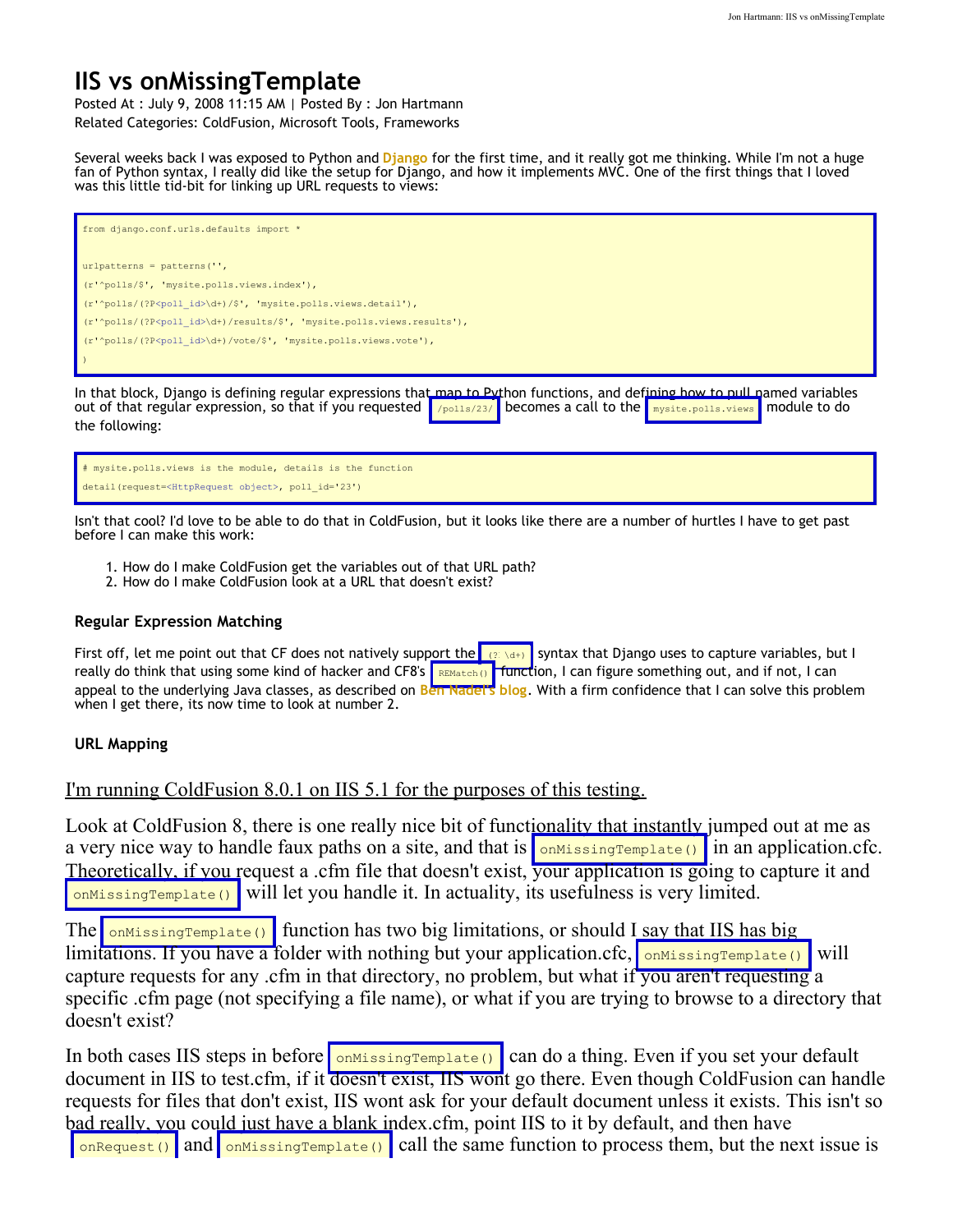## **IIS vs onMissingTemplate**

Posted At : July 9, 2008 11:15 AM | Posted By : Jon Hartmann Related Categories: ColdFusion, Microsoft Tools, Frameworks

Several weeks back I was exposed to Python and **[Django](http://www.djangoproject.com/)** for the first time, and it really got me thinking. While I'm not a huge fan of Python syntax, I really did like the setup for Django, and how it implements MVC. One of the first things that I loved was this little tid-bit for linking up URL requests to views:

| from django.conf.urls.defaults import *                                                                                                                                                                                                                                                                                                                              |
|----------------------------------------------------------------------------------------------------------------------------------------------------------------------------------------------------------------------------------------------------------------------------------------------------------------------------------------------------------------------|
| $urlpatterns = patterns('',$                                                                                                                                                                                                                                                                                                                                         |
| (r'^polls/\$', 'mysite.polls.views.index'),                                                                                                                                                                                                                                                                                                                          |
| $(r'$ polls/(?P <poll id="">\d+)/\$', 'mysite.polls.views.detail'),</poll>                                                                                                                                                                                                                                                                                           |
| $(r'$ polls/(?P <poll id="">\d+)/results/\$', 'mysite.polls.views.results'),</poll>                                                                                                                                                                                                                                                                                  |
| (r'^polls/(?P <poll id="">\d+)/vote/\$', 'mysite.polls.views.vote'),</poll>                                                                                                                                                                                                                                                                                          |
|                                                                                                                                                                                                                                                                                                                                                                      |
| In that block, Django is defining regular expressions that man to Python functions, and defining how to pull named variables<br>out of that regular expression, so that if you requested $\sqrt{\frac{\text{polls}}{23}}$ becomes a call to the $\sqrt{\frac{\text{mols}}{25}}$ becomes a call to the $\sqrt{\frac{\text{mols}}{25}}$ module to do<br>the following: |

# mysite.polls.views is the module, details is the function detail(request=<HttpRequest object>, poll\_id='23')

Isn't that cool? I'd love to be able to do that in ColdFusion, but it looks like there are a number of hurtles I have to get past before I can make this work:

- 1. How do I make ColdFusion get the variables out of that URL path?
- 2. How do I make ColdFusion look at a URL that doesn't exist?

## **Regular Expression Matching**

First off, let me point out that CF does not natively support the  $\frac{1}{(2\sqrt{d})}$  syntax that Django uses to capture variables, but I really do think that using some kind of hacker and CF8's REMatch() function, I can figure something out, and if not, I can appeal to the underlying Java classes, as described on [Ben Nadel's blog](http://www.bennadel.com/blog/769-Learning-ColdFusion-8-REMatch-For-Regular-Expression-Matching.htm). With a firm confidence that I can solve this problem when I get there, its now time to look at number 2.

## **URL Mapping**

I'm running ColdFusion 8.0.1 on IIS 5.1 for the purposes of this testing.

Look at ColdFusion 8, there is one really nice bit of functionality that instantly jumped out at me as a very nice way to handle faux paths on a site, and that is  $\frac{\text{minersimple}}{\text{minersimple}}$  in an application.cfc. Theoretically, if you request a .cfm file that doesn't exist, your application is going to capture it and  $_{\text{omMissingTemplate}}$  will let you handle it. In actuality, its usefulness is very limited.

The onMissingTemplate() function has two big limitations, or should I say that IIS has big limitations. If you have a folder with nothing but your application.cfc,  $\frac{1}{\text{OMissingTemplate}}$ capture requests for any .cfm in that directory, no problem, but what if you aren't requesting a specific .cfm page (not specifying a file name), or what if you are trying to browse to a directory that doesn't exist?

In both cases IIS steps in before  $\frac{\text{OMissingTemplate}}{\text{OMdislingTemplate}}$  can do a thing. Even if you set your default document in IIS to test.cfm, if it doesn't exist, IIS wont go there. Even though ColdFusion can handle requests for files that don't exist, IIS wont ask for your default document unless it exists. This isn't so bad really, you could just have a blank index.cfm, point IIS to it by default, and then have  $\frac{1}{\text{onequest}}$  and  $\frac{1}{\text{onMissingTemplate}}$  call the same function to process them, but the next issue is